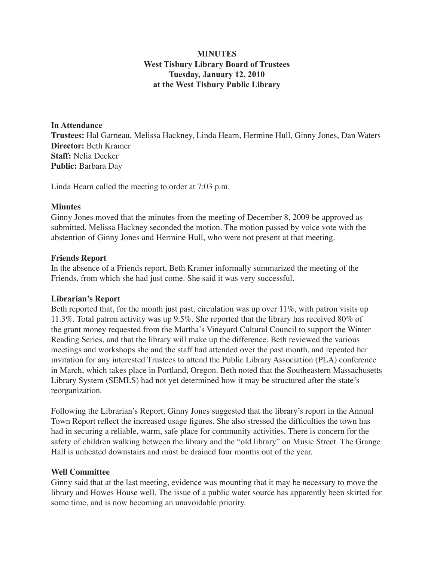# **MINUTES West Tisbury Library Board of Trustees Tuesday, January 12, 2010 at the West Tisbury Public Library**

#### **In Attendance**

**Trustees:** Hal Garneau, Melissa Hackney, Linda Hearn, Hermine Hull, Ginny Jones, Dan Waters **Director:** Beth Kramer **Staff:** Nelia Decker **Public:** Barbara Day

Linda Hearn called the meeting to order at 7:03 p.m.

#### **Minutes**

Ginny Jones moved that the minutes from the meeting of December 8, 2009 be approved as submitted. Melissa Hackney seconded the motion. The motion passed by voice vote with the abstention of Ginny Jones and Hermine Hull, who were not present at that meeting.

#### **Friends Report**

In the absence of a Friends report, Beth Kramer informally summarized the meeting of the Friends, from which she had just come. She said it was very successful.

### **Librarian's Report**

Beth reported that, for the month just past, circulation was up over 11%, with patron visits up 11.3%. Total patron activity was up 9.5%. She reported that the library has received 80% of the grant money requested from the Martha's Vineyard Cultural Council to support the Winter Reading Series, and that the library will make up the difference. Beth reviewed the various meetings and workshops she and the staff had attended over the past month, and repeated her invitation for any interested Trustees to attend the Public Library Association (PLA) conference in March, which takes place in Portland, Oregon. Beth noted that the Southeastern Massachusetts Library System (SEMLS) had not yet determined how it may be structured after the state's reorganization.

Following the Librarian's Report, Ginny Jones suggested that the library's report in the Annual Town Report reflect the increased usage figures. She also stressed the difficulties the town has had in securing a reliable, warm, safe place for community activities. There is concern for the safety of children walking between the library and the "old library" on Music Street. The Grange Hall is unheated downstairs and must be drained four months out of the year.

### **Well Committee**

Ginny said that at the last meeting, evidence was mounting that it may be necessary to move the library and Howes House well. The issue of a public water source has apparently been skirted for some time, and is now becoming an unavoidable priority.